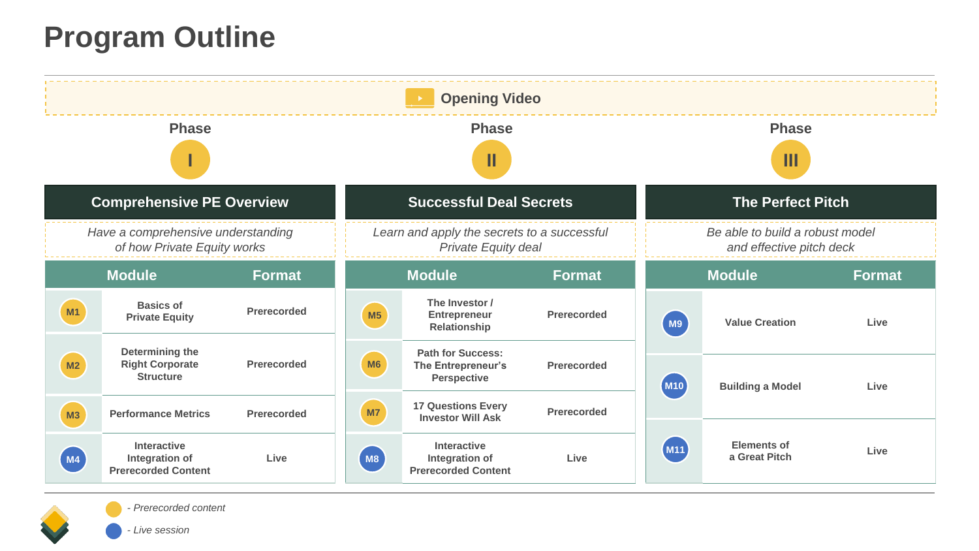# **Program Outline**

| <b>Opening Video</b>                                              |                                                               |               |                                                                    |                                                                      |                    |                                                             |                                     |      |  |
|-------------------------------------------------------------------|---------------------------------------------------------------|---------------|--------------------------------------------------------------------|----------------------------------------------------------------------|--------------------|-------------------------------------------------------------|-------------------------------------|------|--|
| <b>Phase</b>                                                      |                                                               |               |                                                                    | <b>Phase</b><br>Ш                                                    |                    |                                                             | <b>Phase</b><br>Ш                   |      |  |
| <b>Comprehensive PE Overview</b>                                  |                                                               |               |                                                                    | <b>Successful Deal Secrets</b>                                       |                    |                                                             | <b>The Perfect Pitch</b>            |      |  |
| Have a comprehensive understanding<br>of how Private Equity works |                                                               |               | Learn and apply the secrets to a successful<br>Private Equity deal |                                                                      |                    | Be able to build a robust model<br>and effective pitch deck |                                     |      |  |
|                                                                   | <b>Module</b>                                                 | <b>Format</b> |                                                                    | <b>Module</b><br><b>Format</b>                                       |                    | <b>Module</b><br><b>Format</b>                              |                                     |      |  |
| M1                                                                | <b>Basics of</b><br><b>Private Equity</b>                     | Prerecorded   | M5                                                                 | The Investor /<br><b>Entrepreneur</b><br>Relationship                | Prerecorded        | ( M9                                                        | <b>Value Creation</b>               | Live |  |
| M <sub>2</sub>                                                    | Determining the<br><b>Right Corporate</b><br><b>Structure</b> | Prerecorded   | M6                                                                 | <b>Path for Success:</b><br>The Entrepreneur's<br><b>Perspective</b> | <b>Prerecorded</b> | (M <sub>10</sub>                                            | <b>Building a Model</b>             | Live |  |
| M3                                                                | <b>Performance Metrics</b>                                    | Prerecorded   | M7                                                                 | <b>17 Questions Every</b><br><b>Investor Will Ask</b>                | <b>Prerecorded</b> |                                                             |                                     |      |  |
| (M4)                                                              | Interactive<br>Integration of<br><b>Prerecorded Content</b>   | Live          | (M8)                                                               | Interactive<br>Integration of<br><b>Prerecorded Content</b>          | Live               | (M11                                                        | <b>Elements of</b><br>a Great Pitch | Live |  |



*- Prerecorded content*

*- Live session*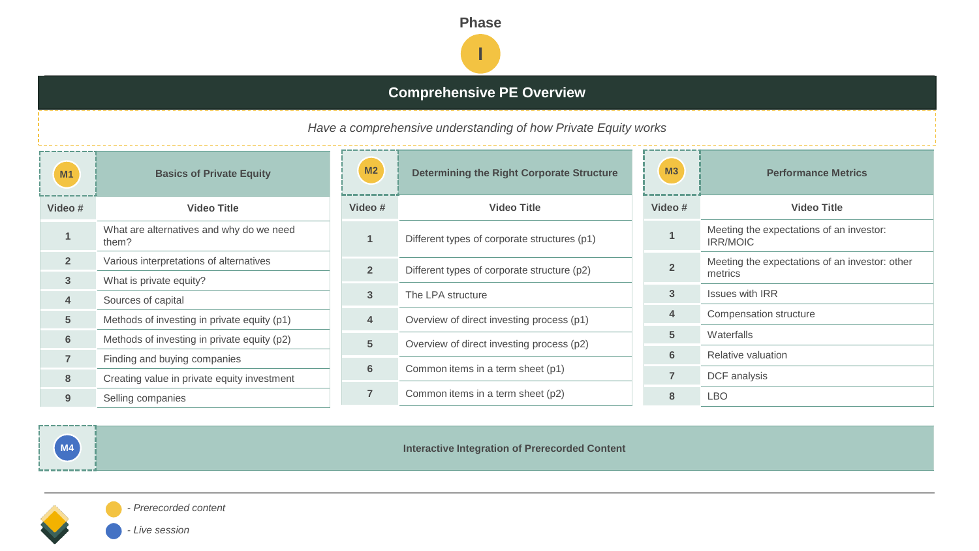

## **Comprehensive PE Overview**

*Have a comprehensive understanding of how Private Equity works*

| Video #<br><b>Video Title</b><br>What are alternatives and why do we need<br>1 |
|--------------------------------------------------------------------------------|
|                                                                                |
| them?                                                                          |
| $\overline{2}$<br>Various interpretations of alternatives                      |
| 3<br>What is private equity?                                                   |
| 4<br>Sources of capital                                                        |
| 5<br>Methods of investing in private equity (p1)                               |
| 6<br>Methods of investing in private equity (p2)                               |
| $\overline{7}$<br>Finding and buying companies                                 |
| 8<br>Creating value in private equity investment                               |
| 9<br>Selling companies                                                         |

| <b>Basics of Private Equity</b>  | M <sub>2</sub>  | <b>Determining the Right Corporate Structure</b> | M <sub>3</sub>  |
|----------------------------------|-----------------|--------------------------------------------------|-----------------|
| <b>Video Title</b>               | Video#          | <b>Video Title</b>                               | <b>Video</b>    |
| ternatives and why do we need    | $\overline{1}$  | Different types of corporate structures (p1)     |                 |
| rpretations of alternatives      | $\overline{2}$  | Different types of corporate structure (p2)      | $\overline{2}$  |
| ate equity?                      |                 |                                                  |                 |
| capital                          | $\overline{3}$  | The LPA structure                                | $\mathbf{3}$    |
| investing in private equity (p1) | $\overline{4}$  | Overview of direct investing process (p1)        | $\overline{4}$  |
| investing in private equity (p2) |                 |                                                  | $5\overline{)}$ |
|                                  | $5\phantom{.0}$ | Overview of direct investing process (p2)        | 6               |
| buying companies                 | $6\phantom{1}$  | Common items in a term sheet (p1)                | $\overline{7}$  |
| lue in private equity investment |                 |                                                  |                 |
| panies                           | $\overline{7}$  | Common items in a term sheet (p2)                | 8               |
|                                  |                 |                                                  |                 |





**M4 Interactive Integration of Prerecorded Content** 

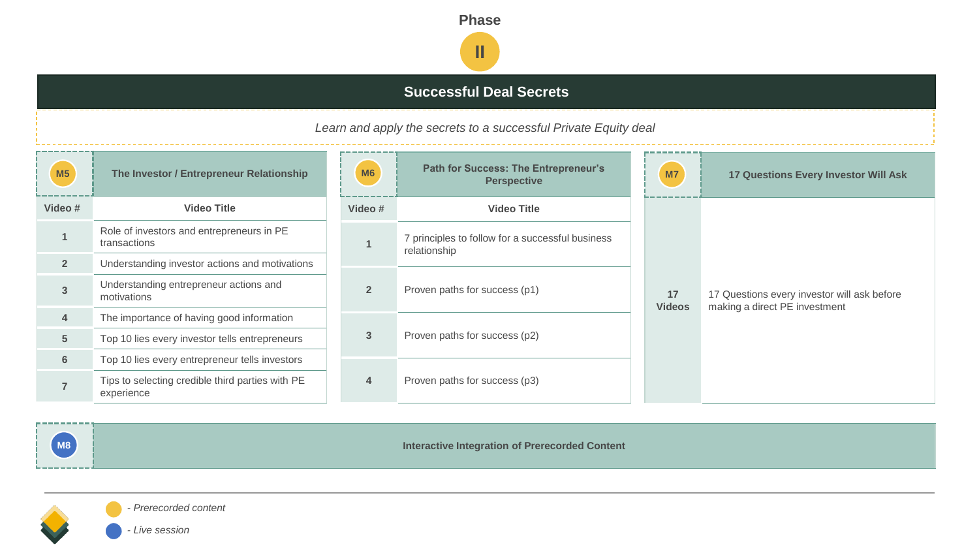

## **Successful Deal Secrets**

*Learn and apply the secrets to a successful Private Equity deal*

| M <sub>5</sub> | The Investor / Entrepreneur Relationship                       | <b>Path for Success: The Entrepreneur's</b><br>M6<br><b>Perspective</b> |                                                                  | M7                  | <b>17 Questions Every Investor Will Ask</b>                                  |
|----------------|----------------------------------------------------------------|-------------------------------------------------------------------------|------------------------------------------------------------------|---------------------|------------------------------------------------------------------------------|
| Video #        | <b>Video Title</b>                                             | Video #                                                                 | <b>Video Title</b>                                               |                     | 17 Questions every investor will ask before<br>making a direct PE investment |
|                | Role of investors and entrepreneurs in PE<br>transactions      |                                                                         | 7 principles to follow for a successful business<br>relationship | 17<br><b>Videos</b> |                                                                              |
| 2 <sup>2</sup> | Understanding investor actions and motivations                 |                                                                         |                                                                  |                     |                                                                              |
| 3              | Understanding entrepreneur actions and<br>motivations          | $\overline{2}$                                                          | Proven paths for success (p1)                                    |                     |                                                                              |
| 4              | The importance of having good information                      |                                                                         | Proven paths for success (p2)                                    |                     |                                                                              |
| 5 <sup>5</sup> | Top 10 lies every investor tells entrepreneurs                 | $\mathbf{3}$                                                            |                                                                  |                     |                                                                              |
| $6\phantom{1}$ | Top 10 lies every entrepreneur tells investors                 |                                                                         |                                                                  |                     |                                                                              |
|                | Tips to selecting credible third parties with PE<br>experience | $\overline{4}$                                                          | Proven paths for success (p3)                                    |                     |                                                                              |



**M8 Interactive Integration of Prerecorded Content** 

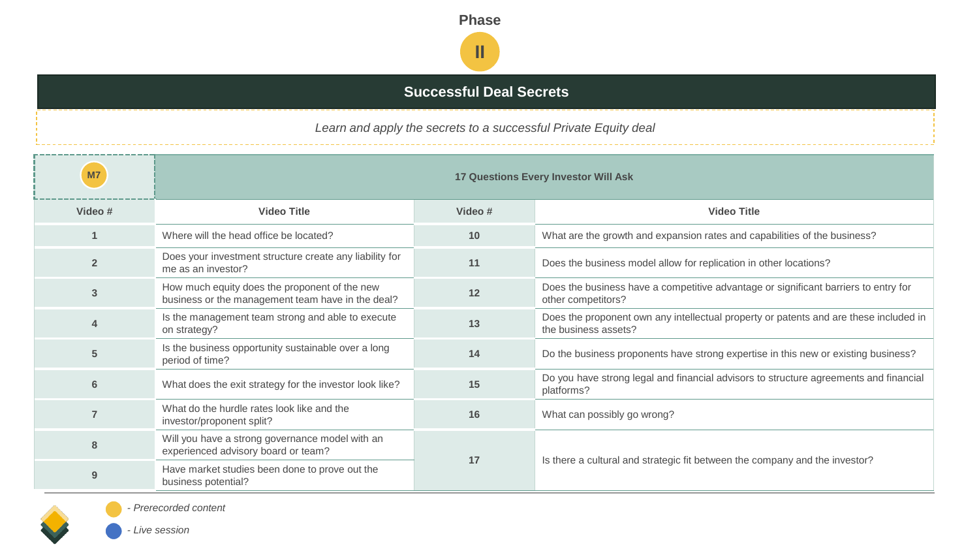

## **Successful Deal Secrets**

*Learn and apply the secrets to a successful Private Equity deal*

| M7             |                                                                                                    | <b>17 Questions Every Investor Will Ask</b> |                                                                                                               |  |  |
|----------------|----------------------------------------------------------------------------------------------------|---------------------------------------------|---------------------------------------------------------------------------------------------------------------|--|--|
| Video #        | <b>Video Title</b>                                                                                 | Video #                                     | <b>Video Title</b>                                                                                            |  |  |
|                | Where will the head office be located?                                                             | 10                                          | What are the growth and expansion rates and capabilities of the business?                                     |  |  |
| $\overline{2}$ | Does your investment structure create any liability for<br>me as an investor?                      | 11                                          | Does the business model allow for replication in other locations?                                             |  |  |
| 3              | How much equity does the proponent of the new<br>business or the management team have in the deal? | 12                                          | Does the business have a competitive advantage or significant barriers to entry for<br>other competitors?     |  |  |
| 4              | Is the management team strong and able to execute<br>on strategy?                                  | 13                                          | Does the proponent own any intellectual property or patents and are these included in<br>the business assets? |  |  |
| 5              | Is the business opportunity sustainable over a long<br>period of time?                             | 14                                          | Do the business proponents have strong expertise in this new or existing business?                            |  |  |
| 6              | What does the exit strategy for the investor look like?                                            | 15                                          | Do you have strong legal and financial advisors to structure agreements and financial<br>platforms?           |  |  |
|                | What do the hurdle rates look like and the<br>investor/proponent split?                            | 16                                          | What can possibly go wrong?                                                                                   |  |  |
| 8              | Will you have a strong governance model with an<br>experienced advisory board or team?             |                                             |                                                                                                               |  |  |
| 9              | Have market studies been done to prove out the<br>business potential?                              | 17                                          | Is there a cultural and strategic fit between the company and the investor?                                   |  |  |



*- Prerecorded content*

*- Live session*